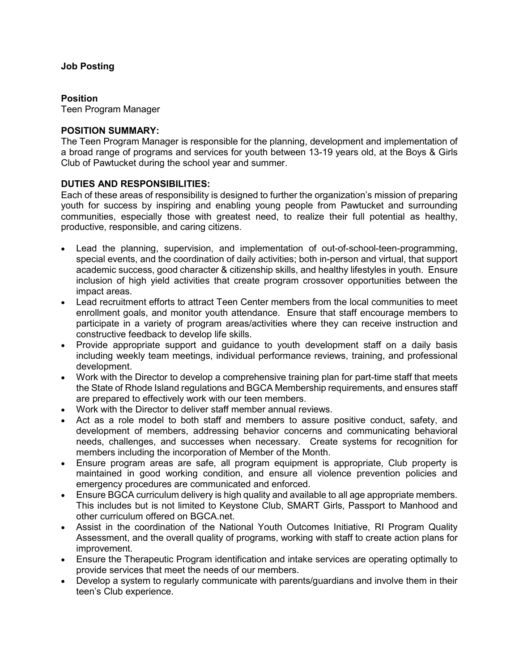## **Job Posting**

### **Position**

Teen Program Manager

### **POSITION SUMMARY:**

The Teen Program Manager is responsible for the planning, development and implementation of a broad range of programs and services for youth between 13-19 years old, at the Boys & Girls Club of Pawtucket during the school year and summer.

### **DUTIES AND RESPONSIBILITIES:**

Each of these areas of responsibility is designed to further the organization's mission of preparing youth for success by inspiring and enabling young people from Pawtucket and surrounding communities, especially those with greatest need, to realize their full potential as healthy, productive, responsible, and caring citizens.

- Lead the planning, supervision, and implementation of out-of-school-teen-programming, special events, and the coordination of daily activities; both in-person and virtual, that support academic success, good character & citizenship skills, and healthy lifestyles in youth. Ensure inclusion of high yield activities that create program crossover opportunities between the impact areas.
- Lead recruitment efforts to attract Teen Center members from the local communities to meet enrollment goals, and monitor youth attendance. Ensure that staff encourage members to participate in a variety of program areas/activities where they can receive instruction and constructive feedback to develop life skills.
- Provide appropriate support and guidance to youth development staff on a daily basis including weekly team meetings, individual performance reviews, training, and professional development.
- Work with the Director to develop a comprehensive training plan for part-time staff that meets the State of Rhode Island regulations and BGCA Membership requirements, and ensures staff are prepared to effectively work with our teen members.
- Work with the Director to deliver staff member annual reviews.
- Act as a role model to both staff and members to assure positive conduct, safety, and development of members, addressing behavior concerns and communicating behavioral needs, challenges, and successes when necessary. Create systems for recognition for members including the incorporation of Member of the Month.
- Ensure program areas are safe, all program equipment is appropriate, Club property is maintained in good working condition, and ensure all violence prevention policies and emergency procedures are communicated and enforced.
- Ensure BGCA curriculum delivery is high quality and available to all age appropriate members. This includes but is not limited to Keystone Club, SMART Girls, Passport to Manhood and other curriculum offered on BGCA.net.
- Assist in the coordination of the National Youth Outcomes Initiative, RI Program Quality Assessment, and the overall quality of programs, working with staff to create action plans for improvement.
- Ensure the Therapeutic Program identification and intake services are operating optimally to provide services that meet the needs of our members.
- Develop a system to regularly communicate with parents/guardians and involve them in their teen's Club experience.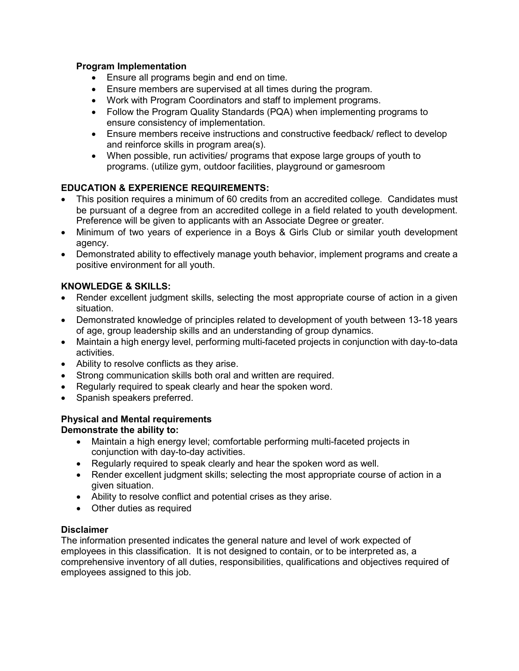## **Program Implementation**

- Ensure all programs begin and end on time.
- Ensure members are supervised at all times during the program.
- Work with Program Coordinators and staff to implement programs.
- Follow the Program Quality Standards (PQA) when implementing programs to ensure consistency of implementation.
- Ensure members receive instructions and constructive feedback/ reflect to develop and reinforce skills in program area(s).
- When possible, run activities/ programs that expose large groups of youth to programs. (utilize gym, outdoor facilities, playground or gamesroom

# **EDUCATION & EXPERIENCE REQUIREMENTS:**

- This position requires a minimum of 60 credits from an accredited college. Candidates must be pursuant of a degree from an accredited college in a field related to youth development. Preference will be given to applicants with an Associate Degree or greater.
- Minimum of two years of experience in a Boys & Girls Club or similar youth development agency.
- Demonstrated ability to effectively manage youth behavior, implement programs and create a positive environment for all youth.

## **KNOWLEDGE & SKILLS:**

- Render excellent judgment skills, selecting the most appropriate course of action in a given situation.
- Demonstrated knowledge of principles related to development of youth between 13-18 years of age, group leadership skills and an understanding of group dynamics.
- Maintain a high energy level, performing multi-faceted projects in conjunction with day-to-data activities.
- Ability to resolve conflicts as they arise.
- Strong communication skills both oral and written are required.
- Regularly required to speak clearly and hear the spoken word.
- Spanish speakers preferred.

#### **Physical and Mental requirements Demonstrate the ability to:**

- Maintain a high energy level; comfortable performing multi-faceted projects in conjunction with day-to-day activities.
- Regularly required to speak clearly and hear the spoken word as well.
- Render excellent judgment skills; selecting the most appropriate course of action in a given situation.
- Ability to resolve conflict and potential crises as they arise.
- Other duties as required

## **Disclaimer**

The information presented indicates the general nature and level of work expected of employees in this classification. It is not designed to contain, or to be interpreted as, a comprehensive inventory of all duties, responsibilities, qualifications and objectives required of employees assigned to this job.